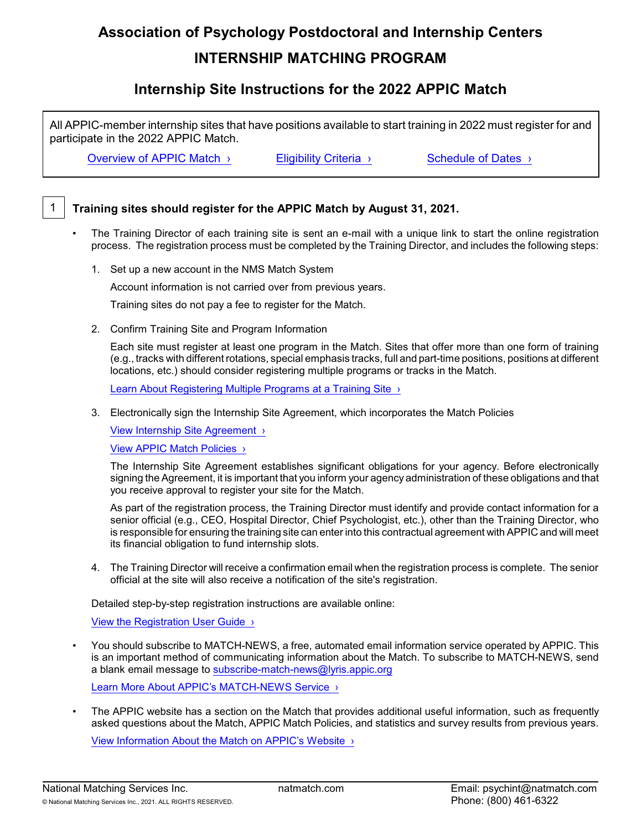# **Association of Psychology Postdoctoral and Internship Centers INTERNSHIP MATCHING PROGRAM**

# **Internship Site Instructions for the 2022 APPIC Match**

All APPIC-member internship sites that have positions available to start training in 2022 must register for and participate in the 2022 APPIC Match.

[Overview](https://natmatch.com/psychint/overview.html) of APPIC Match **>** Eligibility Criteria > [Schedule of](https://natmatch.com/psychint/schedule.html) Dates >

### 1 **Training sites should register for the APPIC Match by August 31, 2021.**

- The Training Director of each training site is sent an e-mail with a unique link to start the online registration process. The registration process must be completed by the Training Director, and includes the following steps:
	- 1. Set up a new account in the NMS Match System

Account information is not carried over from previous years.

Training sites do not pay a fee to register for the Match.

2. Confirm Training Site and Program Information

Each site must register at least one program in the Match. Sites that offer more than one form of training (e.g., tracks with different rotations, special emphasis tracks, full and part-time positions, positions at different locations, etc.) should consider registering multiple programs or tracks in the Match.

Learn About Registering Multiple Programs at a Training Site >

3. Electronically sign the Internship Site Agreement, which incorporates the Match Policies

[View Internship Site Agreement ›](https://natmatch.com/psychint/documents/instterms.pdf)

[View APPIC Match Policies ›](https://www.appic.org/internships/Match/Match-Policies)

The Internship Site Agreement establishes significant obligations for your agency. Before electronically signing the Agreement, it is important that you inform your agency administration of these obligations and that you receive approval to register your site for the Match.

As part of the registration process, the Training Director must identify and provide contact information for a senior official (e.g., CEO, Hospital Director, Chief Psychologist, etc.), other than the Training Director, who is responsible for ensuring the training site can enter into this contractual agreement with APPIC and will meet its financial obligation to fund internship slots.

4. The Training Director will receive a confirmation email when the registration process is complete. The senior official at the site will also receive a notification of the site's registration.

Detailed step-by-step registration instructions are available online:

[View the Registration User Guide ›](https://natmatch.com/psychint/programs/register-guide.html)

• You should subscribe to MATCH-NEWS, a free, automated email information service operated by APPIC. This is an important method of communicating information about the Match. To subscribe to MATCH-NEWS, send a blank email message to [subscribe-match-news@lyris.appic.org](mailto:subscribe-match-news@lyris.appic.org)

[Learn More About APPIC's](https://www.appic.org/E-Mail-Lists/Choose-a-news-list/Match-News) MATCH-NEWS Service >

• The APPIC website has a section on the Match that provides additional useful information, such as frequently asked questions about the Match, APPIC Match Policies, and statistics and survey results from previous years.

[View Information About the Match on APPIC's Website ›](https://www.appic.org/Internships/Match/About-The-APPIC-Match)